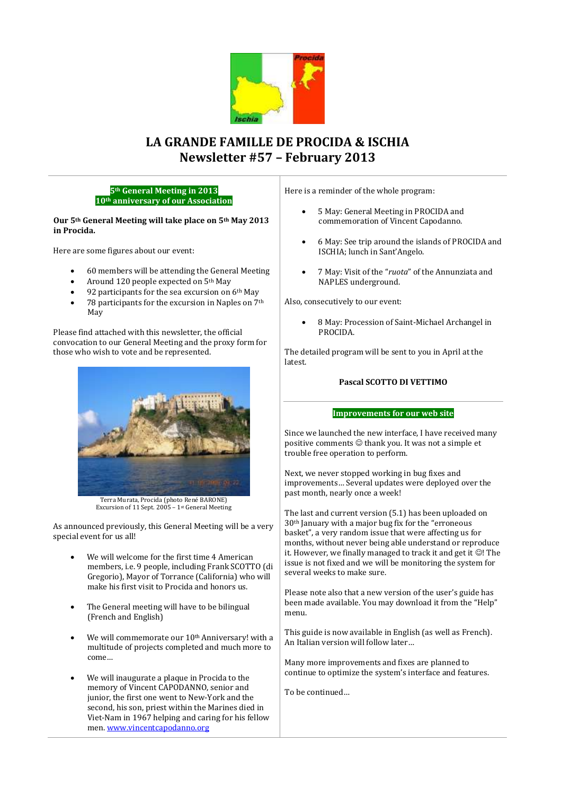

# **LA GRANDE FAMILLE DE PROCIDA & ISCHIA Newsletter #57 – February 2013**

# **5th General Meeting in 2013 10th anniversary of our Association**

# **Our 5th General Meeting will take place on 5th May 2013 in Procida.**

Here are some figures about our event:

- 60 members will be attending the General Meeting
- Around 120 people expected on 5th May
- 92 participants for the sea excursion on 6th May
- 78 participants for the excursion in Naples on 7th May

Please find attached with this newsletter, the official convocation to our General Meeting and the proxy form for those who wish to vote and be represented.



Terra Murata, Procida (photo René BARONE) Excursion of 11 Sept. 2005 – 1st General Meeting

As announced previously, this General Meeting will be a very special event for us all!

- We will welcome for the first time 4 American members, i.e. 9 people, including Frank SCOTTO (di Gregorio), Mayor of Torrance (California) who will make his first visit to Procida and honors us.
- The General meeting will have to be bilingual (French and English)
- We will commemorate our 10<sup>th</sup> Anniversary! with a multitude of projects completed and much more to come…
- We will inaugurate a plaque in Procida to the memory of Vincent CAPODANNO, senior and junior, the first one went to New-York and the second, his son, priest within the Marines died in Viet-Nam in 1967 helping and caring for his fellow men[. www.vincentcapodanno.org](http://www.vincentcapodanno.org/)

Here is a reminder of the whole program:

- 5 May: General Meeting in PROCIDA and commemoration of Vincent Capodanno.
- 6 May: See trip around the islands of PROCIDA and ISCHIA; lunch in Sant'Angelo.
- 7 May: Visit of the "*ruota*" of the Annunziata and NAPLES underground.

Also, consecutively to our event:

 8 May: Procession of Saint-Michael Archangel in PROCIDA.

The detailed program will be sent to you in April at the latest.

# **Pascal SCOTTO DI VETTIMO**

#### **Improvements for our web site**

Since we launched the new interface, I have received many positive comments  $\odot$  thank you. It was not a simple et trouble free operation to perform.

Next, we never stopped working in bug fixes and improvements… Several updates were deployed over the past month, nearly once a week!

The last and current version (5.1) has been uploaded on 30th January with a major bug fix for the "erroneous basket", a very random issue that were affecting us for months, without never being able understand or reproduce it. However, we finally managed to track it and get it  $\odot$ ! The issue is not fixed and we will be monitoring the system for several weeks to make sure.

Please note also that a new version of the user's guide has been made available. You may download it from the "Help" menu.

This guide is now available in English (as well as French). An Italian version will follow later…

Many more improvements and fixes are planned to continue to optimize the system's interface and features.

To be continued…